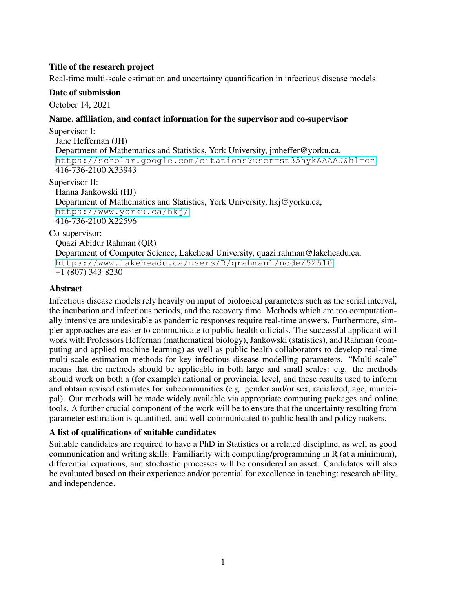## Title of the research project

Real-time multi-scale estimation and uncertainty quantification in infectious disease models

#### Date of submission

October 14, 2021

### Name, affiliation, and contact information for the supervisor and co-supervisor

Supervisor I: Jane Heffernan (JH) Department of Mathematics and Statistics, York University, jmheffer@yorku.ca, <https://scholar.google.com/citations?user=st35hykAAAAJ&hl=en> 416-736-2100 X33943 Supervisor II:

Hanna Jankowski (HJ)

Department of Mathematics and Statistics, York University, hkj@yorku.ca, <https://www.yorku.ca/hkj/> 416-736-2100 X22596

Co-supervisor:

Quazi Abidur Rahman (QR) Department of Computer Science, Lakehead University, quazi.rahman@lakeheadu.ca, <https://www.lakeheadu.ca/users/R/qrahman1/node/52510> +1 (807) 343-8230

### Abstract

Infectious disease models rely heavily on input of biological parameters such as the serial interval, the incubation and infectious periods, and the recovery time. Methods which are too computationally intensive are undesirable as pandemic responses require real-time answers. Furthermore, simpler approaches are easier to communicate to public health officials. The successful applicant will work with Professors Heffernan (mathematical biology), Jankowski (statistics), and Rahman (computing and applied machine learning) as well as public health collaborators to develop real-time multi-scale estimation methods for key infectious disease modelling parameters. "Multi-scale" means that the methods should be applicable in both large and small scales: e.g. the methods should work on both a (for example) national or provincial level, and these results used to inform and obtain revised estimates for subcommunities (e.g. gender and/or sex, racialized, age, municipal). Our methods will be made widely available via appropriate computing packages and online tools. A further crucial component of the work will be to ensure that the uncertainty resulting from parameter estimation is quantified, and well-communicated to public health and policy makers.

### A list of qualifications of suitable candidates

Suitable candidates are required to have a PhD in Statistics or a related discipline, as well as good communication and writing skills. Familiarity with computing/programming in R (at a minimum), differential equations, and stochastic processes will be considered an asset. Candidates will also be evaluated based on their experience and/or potential for excellence in teaching; research ability, and independence.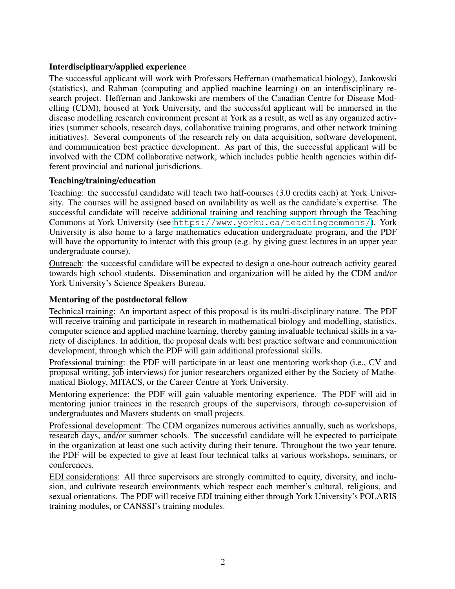## Interdisciplinary/applied experience

The successful applicant will work with Professors Heffernan (mathematical biology), Jankowski (statistics), and Rahman (computing and applied machine learning) on an interdisciplinary research project. Heffernan and Jankowski are members of the Canadian Centre for Disease Modelling (CDM), housed at York University, and the successful applicant will be immersed in the disease modelling research environment present at York as a result, as well as any organized activities (summer schools, research days, collaborative training programs, and other network training initiatives). Several components of the research rely on data acquisition, software development, and communication best practice development. As part of this, the successful applicant will be involved with the CDM collaborative network, which includes public health agencies within different provincial and national jurisdictions.

## Teaching/training/education

Teaching: the successful candidate will teach two half-courses (3.0 credits each) at York University. The courses will be assigned based on availability as well as the candidate's expertise. The successful candidate will receive additional training and teaching support through the Teaching Commons at York University (see <https://www.yorku.ca/teachingcommons/>). York University is also home to a large mathematics education undergraduate program, and the PDF will have the opportunity to interact with this group (e.g. by giving guest lectures in an upper year undergraduate course).

Outreach: the successful candidate will be expected to design a one-hour outreach activity geared towards high school students. Dissemination and organization will be aided by the CDM and/or York University's Science Speakers Bureau.

# Mentoring of the postdoctoral fellow

Technical training: An important aspect of this proposal is its multi-disciplinary nature. The PDF will receive training and participate in research in mathematical biology and modelling, statistics, computer science and applied machine learning, thereby gaining invaluable technical skills in a variety of disciplines. In addition, the proposal deals with best practice software and communication development, through which the PDF will gain additional professional skills.

Professional training: the PDF will participate in at least one mentoring workshop (i.e., CV and proposal writing, job interviews) for junior researchers organized either by the Society of Mathematical Biology, MITACS, or the Career Centre at York University.

Mentoring experience: the PDF will gain valuable mentoring experience. The PDF will aid in mentoring junior trainees in the research groups of the supervisors, through co-supervision of undergraduates and Masters students on small projects.

Professional development: The CDM organizes numerous activities annually, such as workshops, research days, and/or summer schools. The successful candidate will be expected to participate in the organization at least one such activity during their tenure. Throughout the two year tenure, the PDF will be expected to give at least four technical talks at various workshops, seminars, or conferences.

EDI considerations: All three supervisors are strongly committed to equity, diversity, and inclusion, and cultivate research environments which respect each member's cultural, religious, and sexual orientations. The PDF will receive EDI training either through York University's POLARIS training modules, or CANSSI's training modules.